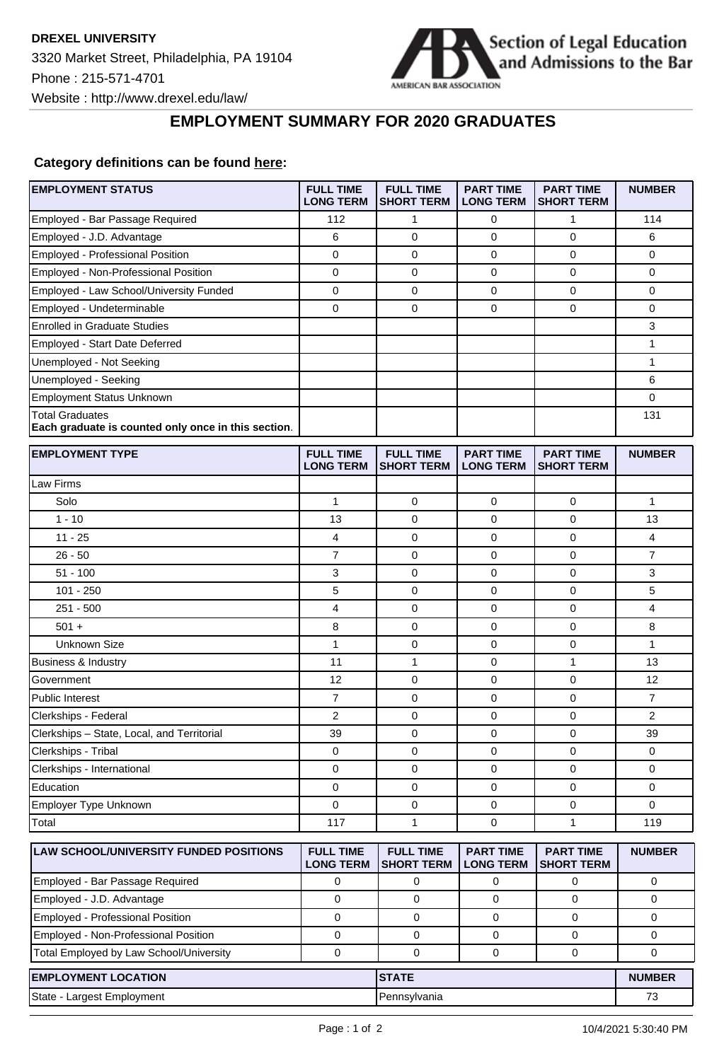

## **EMPLOYMENT SUMMARY FOR 2020 GRADUATES**

## **Category definitions can be found [here:](https://www.americanbar.org/content/dam/aba/administrative/legal_education_and_admissions_to_the_bar/Questionnaires/employment-protocol-class-of-2020.pdf)**

| <b>EMPLOYMENT STATUS</b>                                                      | <b>FULL TIME</b><br><b>LONG TERM</b> | <b>FULL TIME</b><br><b>SHORT TERM</b> | <b>PART TIME</b><br><b>LONG TERM</b> | <b>PART TIME</b><br><b>SHORT TERM</b> | <b>NUMBER</b>  |
|-------------------------------------------------------------------------------|--------------------------------------|---------------------------------------|--------------------------------------|---------------------------------------|----------------|
| Employed - Bar Passage Required                                               | 112                                  | 1                                     | 0                                    | 1                                     | 114            |
| Employed - J.D. Advantage                                                     | 6                                    | $\mathbf 0$                           | 0                                    | $\mathbf 0$                           | 6              |
| <b>Employed - Professional Position</b>                                       | 0                                    | $\mathbf 0$                           | 0                                    | $\mathbf 0$                           | 0              |
| Employed - Non-Professional Position                                          | 0                                    | $\mathbf 0$                           | 0                                    | $\mathbf 0$                           | 0              |
| Employed - Law School/University Funded                                       | $\mathbf 0$                          | 0                                     | $\mathbf 0$                          | $\pmb{0}$                             | 0              |
| Employed - Undeterminable                                                     | $\mathbf 0$                          | 0                                     | $\mathbf 0$                          | $\mathbf 0$                           | 0              |
| <b>Enrolled in Graduate Studies</b>                                           |                                      |                                       |                                      |                                       | 3              |
| Employed - Start Date Deferred                                                |                                      |                                       |                                      |                                       | 1              |
| Unemployed - Not Seeking                                                      |                                      |                                       |                                      |                                       | $\mathbf{1}$   |
| Unemployed - Seeking                                                          |                                      |                                       |                                      |                                       | 6              |
| <b>Employment Status Unknown</b>                                              |                                      |                                       |                                      |                                       | 0              |
| <b>Total Graduates</b><br>Each graduate is counted only once in this section. |                                      |                                       |                                      |                                       | 131            |
| <b>EMPLOYMENT TYPE</b>                                                        | <b>FULL TIME</b><br><b>LONG TERM</b> | <b>FULL TIME</b><br><b>SHORT TERM</b> | <b>PART TIME</b><br><b>LONG TERM</b> | <b>PART TIME</b><br><b>SHORT TERM</b> | <b>NUMBER</b>  |
| Law Firms                                                                     |                                      |                                       |                                      |                                       |                |
| Solo                                                                          | $\mathbf{1}$                         | 0                                     | 0                                    | 0                                     | 1              |
| $1 - 10$                                                                      | 13                                   | $\mathbf 0$                           | 0                                    | $\mathbf 0$                           | 13             |
| $11 - 25$                                                                     | 4                                    | 0                                     | 0                                    | $\mathbf 0$                           | 4              |
| $26 - 50$                                                                     | $\overline{7}$                       | 0                                     | 0                                    | $\mathbf 0$                           | $\overline{7}$ |
| $51 - 100$                                                                    | 3                                    | 0                                     | 0                                    | $\mathbf 0$                           | 3              |
| $101 - 250$                                                                   | 5                                    | 0                                     | 0                                    | $\mathbf 0$                           | 5              |
| $251 - 500$                                                                   | 4                                    | $\mathbf 0$                           | 0                                    | $\mathbf 0$                           | 4              |
| $501 +$                                                                       | 8                                    | 0                                     | 0                                    | 0                                     | 8              |
| <b>Unknown Size</b>                                                           | $\mathbf{1}$                         | 0                                     | $\mathbf 0$                          | 0                                     | $\mathbf{1}$   |
| <b>Business &amp; Industry</b>                                                | 11                                   | 1                                     | 0                                    | 1                                     | 13             |
| Government                                                                    | 12                                   | $\mathbf 0$                           | 0                                    | $\mathbf 0$                           | 12             |
| Public Interest                                                               | $\overline{7}$                       | 0                                     | 0                                    | 0                                     | $\overline{7}$ |
| Clerkships - Federal                                                          | $\overline{2}$                       | 0                                     | 0                                    | 0                                     | $\overline{2}$ |
| Clerkships - State, Local, and Territorial                                    | 39                                   | 0                                     | 0                                    | 0                                     | 39             |
| Clerkships - Tribal                                                           | 0                                    | 0                                     | 0                                    | $\mathbf 0$                           | 0              |
| Clerkships - International                                                    | 0                                    | 0                                     | 0                                    | $\mathbf 0$                           | 0              |
| Education                                                                     | 0                                    | 0                                     | 0                                    | $\pmb{0}$                             | 0              |
| Employer Type Unknown                                                         | $\mathbf 0$                          | 0                                     | $\mathbf 0$                          | $\mathbf{0}$                          | $\Omega$       |
| Total                                                                         | 117                                  | 1                                     | 0                                    | 1                                     | 119            |
| LAW SCHOOL/UNIVERSITY FUNDED POSITIONS                                        | <b>FULL TIME</b><br><b>LONG TERM</b> | <b>FULL TIME</b><br><b>SHORT TERM</b> | <b>PART TIME</b><br><b>LONG TERM</b> | <b>PART TIME</b><br><b>SHORT TERM</b> | <b>NUMBER</b>  |
| Employed - Bar Passage Required                                               | 0                                    | 0                                     | 0                                    | 0                                     | 0              |
| Employed - J.D. Advantage                                                     | $\mathbf 0$                          | 0                                     | 0                                    | 0                                     | 0              |
| <b>Employed - Professional Position</b>                                       | $\mathbf 0$                          | 0                                     | 0                                    | $\mathbf 0$                           | 0              |
| Employed - Non-Professional Position                                          | 0                                    | 0                                     | 0                                    | 0                                     | 0              |
| Total Employed by Law School/University                                       | $\mathbf 0$                          | 0                                     | $\mathbf 0$                          | 0                                     | 0              |
| <b>EMPLOYMENT LOCATION</b>                                                    |                                      | <b>STATE</b>                          |                                      |                                       | <b>NUMBER</b>  |
| State - Largest Employment                                                    |                                      | Pennsylvania                          |                                      |                                       | 73             |
|                                                                               |                                      |                                       |                                      |                                       |                |